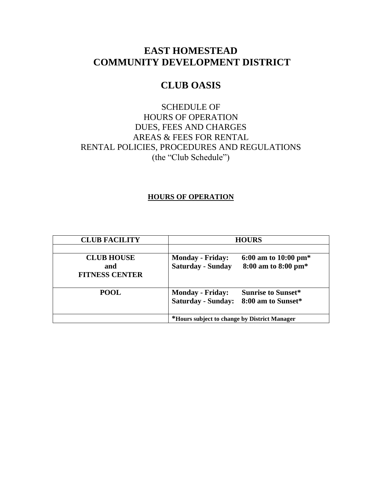# **EAST HOMESTEAD COMMUNITY DEVELOPMENT DISTRICT**

# **CLUB OASIS**

### SCHEDULE OF HOURS OF OPERATION DUES, FEES AND CHARGES AREAS & FEES FOR RENTAL RENTAL POLICIES, PROCEDURES AND REGULATIONS (the "Club Schedule")

#### **HOURS OF OPERATION**

| <b>CLUB FACILITY</b>         | <b>HOURS</b>                                 |                           |
|------------------------------|----------------------------------------------|---------------------------|
|                              |                                              |                           |
| <b>CLUB HOUSE</b>            | <b>Monday - Friday:</b>                      | 6:00 am to 10:00 pm $*$   |
| and<br><b>FITNESS CENTER</b> | <b>Saturday - Sunday</b>                     | 8:00 am to 8:00 pm*       |
| <b>POOL</b>                  | <b>Monday - Friday:</b>                      | <b>Sunrise to Sunset*</b> |
|                              | <b>Saturday - Sunday:</b>                    | 8:00 am to Sunset*        |
|                              | *Hours subject to change by District Manager |                           |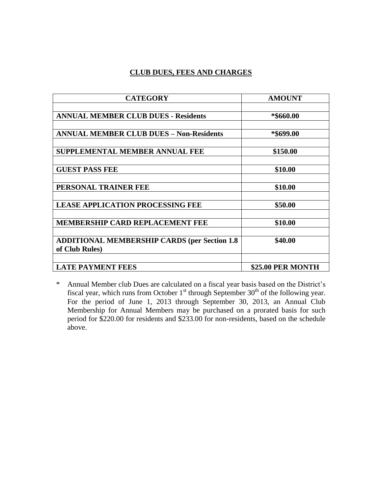#### **CLUB DUES, FEES AND CHARGES**

| <b>CATEGORY</b>                                                        | <b>AMOUNT</b>            |
|------------------------------------------------------------------------|--------------------------|
| <b>ANNUAL MEMBER CLUB DUES - Residents</b>                             | *\$660.00                |
| <b>ANNUAL MEMBER CLUB DUES - Non-Residents</b>                         | *\$699.00                |
| <b>SUPPLEMENTAL MEMBER ANNUAL FEE</b>                                  | \$150.00                 |
| <b>GUEST PASS FEE</b>                                                  | \$10.00                  |
| PERSONAL TRAINER FEE                                                   | \$10.00                  |
| <b>LEASE APPLICATION PROCESSING FEE</b>                                | \$50.00                  |
| <b>MEMBERSHIP CARD REPLACEMENT FEE</b>                                 | \$10.00                  |
| <b>ADDITIONAL MEMBERSHIP CARDS (per Section 1.8)</b><br>of Club Rules) | \$40.00                  |
| <b>LATE PAYMENT FEES</b>                                               | <b>\$25.00 PER MONTH</b> |

\* Annual Member club Dues are calculated on a fiscal year basis based on the District's fiscal year, which runs from October  $1<sup>st</sup>$  through September 30<sup>th</sup> of the following year. For the period of June 1, 2013 through September 30, 2013, an Annual Club Membership for Annual Members may be purchased on a prorated basis for such period for \$220.00 for residents and \$233.00 for non-residents, based on the schedule above.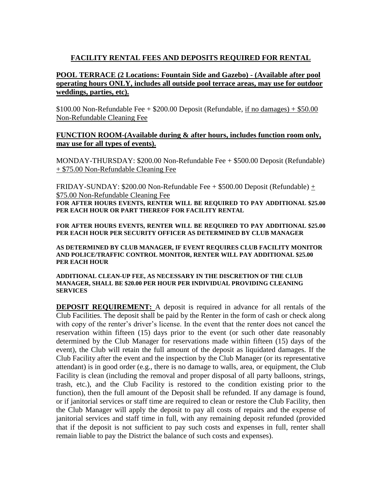### **FACILITY RENTAL FEES AND DEPOSITS REQUIRED FOR RENTAL**

#### **POOL TERRACE (2 Locations: Fountain Side and Gazebo) - (Available after pool operating hours ONLY, includes all outside pool terrace areas, may use for outdoor weddings, parties, etc).**

 $$100.00$  Non-Refundable Fee  $+$  \$200.00 Deposit (Refundable, if no damages)  $+$  \$50.00 Non-Refundable Cleaning Fee

#### **FUNCTION ROOM-(Available during & after hours, includes function room only, may use for all types of events).**

MONDAY-THURSDAY: \$200.00 Non-Refundable Fee + \$500.00 Deposit (Refundable) + \$75.00 Non-Refundable Cleaning Fee

FRIDAY-SUNDAY: \$200.00 Non-Refundable Fee + \$500.00 Deposit (Refundable) + \$75.00 Non-Refundable Cleaning Fee **FOR AFTER HOURS EVENTS, RENTER WILL BE REQUIRED TO PAY ADDITIONAL \$25.00 PER EACH HOUR OR PART THEREOF FOR FACILITY RENTAL** 

**FOR AFTER HOURS EVENTS, RENTER WILL BE REQUIRED TO PAY ADDITIONAL \$25.00 PER EACH HOUR PER SECURITY OFFICER AS DETERMINED BY CLUB MANAGER**

**AS DETERMINED BY CLUB MANAGER, IF EVENT REQUIRES CLUB FACILITY MONITOR AND POLICE/TRAFFIC CONTROL MONITOR, RENTER WILL PAY ADDITIONAL \$25.00 PER EACH HOUR**

#### **ADDITIONAL CLEAN-UP FEE, AS NECESSARY IN THE DISCRETION OF THE CLUB MANAGER, SHALL BE \$20.00 PER HOUR PER INDIVIDUAL PROVIDING CLEANING SERVICES**

**DEPOSIT REQUIREMENT:** A deposit is required in advance for all rentals of the Club Facilities. The deposit shall be paid by the Renter in the form of cash or check along with copy of the renter's driver's license. In the event that the renter does not cancel the reservation within fifteen (15) days prior to the event (or such other date reasonably determined by the Club Manager for reservations made within fifteen (15) days of the event), the Club will retain the full amount of the deposit as liquidated damages. If the Club Facility after the event and the inspection by the Club Manager (or its representative attendant) is in good order (e.g., there is no damage to walls, area, or equipment, the Club Facility is clean (including the removal and proper disposal of all party balloons, strings, trash, etc.), and the Club Facility is restored to the condition existing prior to the function), then the full amount of the Deposit shall be refunded. If any damage is found, or if janitorial services or staff time are required to clean or restore the Club Facility, then the Club Manager will apply the deposit to pay all costs of repairs and the expense of janitorial services and staff time in full, with any remaining deposit refunded (provided that if the deposit is not sufficient to pay such costs and expenses in full, renter shall remain liable to pay the District the balance of such costs and expenses).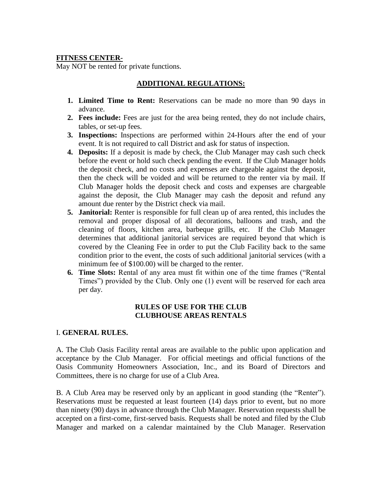#### **FITNESS CENTER-**

May NOT be rented for private functions.

#### **ADDITIONAL REGULATIONS:**

- **1. Limited Time to Rent:** Reservations can be made no more than 90 days in advance.
- **2. Fees include:** Fees are just for the area being rented, they do not include chairs, tables, or set-up fees.
- **3. Inspections:** Inspections are performed within 24-Hours after the end of your event. It is not required to call District and ask for status of inspection.
- **4. Deposits:** If a deposit is made by check, the Club Manager may cash such check before the event or hold such check pending the event. If the Club Manager holds the deposit check, and no costs and expenses are chargeable against the deposit, then the check will be voided and will be returned to the renter via by mail. If Club Manager holds the deposit check and costs and expenses are chargeable against the deposit, the Club Manager may cash the deposit and refund any amount due renter by the District check via mail.
- **5. Janitorial:** Renter is responsible for full clean up of area rented, this includes the removal and proper disposal of all decorations, balloons and trash, and the cleaning of floors, kitchen area, barbeque grills, etc. If the Club Manager determines that additional janitorial services are required beyond that which is covered by the Cleaning Fee in order to put the Club Facility back to the same condition prior to the event, the costs of such additional janitorial services (with a minimum fee of \$100.00) will be charged to the renter.
- **6. Time Slots:** Rental of any area must fit within one of the time frames ("Rental Times") provided by the Club. Only one (1) event will be reserved for each area per day.

#### **RULES OF USE FOR THE CLUB CLUBHOUSE AREAS RENTALS**

#### I. **GENERAL RULES.**

A. The Club Oasis Facility rental areas are available to the public upon application and acceptance by the Club Manager. For official meetings and official functions of the Oasis Community Homeowners Association, Inc., and its Board of Directors and Committees, there is no charge for use of a Club Area.

B. A Club Area may be reserved only by an applicant in good standing (the "Renter"). Reservations must be requested at least fourteen (14) days prior to event, but no more than ninety (90) days in advance through the Club Manager. Reservation requests shall be accepted on a first-come, first-served basis. Requests shall be noted and filed by the Club Manager and marked on a calendar maintained by the Club Manager. Reservation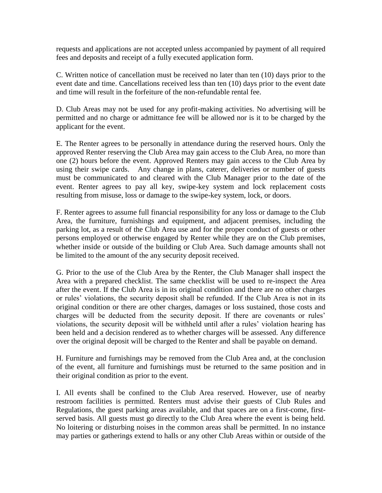requests and applications are not accepted unless accompanied by payment of all required fees and deposits and receipt of a fully executed application form.

C. Written notice of cancellation must be received no later than ten (10) days prior to the event date and time. Cancellations received less than ten (10) days prior to the event date and time will result in the forfeiture of the non-refundable rental fee.

D. Club Areas may not be used for any profit-making activities. No advertising will be permitted and no charge or admittance fee will be allowed nor is it to be charged by the applicant for the event.

E. The Renter agrees to be personally in attendance during the reserved hours. Only the approved Renter reserving the Club Area may gain access to the Club Area, no more than one (2) hours before the event. Approved Renters may gain access to the Club Area by using their swipe cards. Any change in plans, caterer, deliveries or number of guests must be communicated to and cleared with the Club Manager prior to the date of the event. Renter agrees to pay all key, swipe-key system and lock replacement costs resulting from misuse, loss or damage to the swipe-key system, lock, or doors.

F. Renter agrees to assume full financial responsibility for any loss or damage to the Club Area, the furniture, furnishings and equipment, and adjacent premises, including the parking lot, as a result of the Club Area use and for the proper conduct of guests or other persons employed or otherwise engaged by Renter while they are on the Club premises, whether inside or outside of the building or Club Area. Such damage amounts shall not be limited to the amount of the any security deposit received.

G. Prior to the use of the Club Area by the Renter, the Club Manager shall inspect the Area with a prepared checklist. The same checklist will be used to re-inspect the Area after the event. If the Club Area is in its original condition and there are no other charges or rules' violations, the security deposit shall be refunded. If the Club Area is not in its original condition or there are other charges, damages or loss sustained, those costs and charges will be deducted from the security deposit. If there are covenants or rules' violations, the security deposit will be withheld until after a rules' violation hearing has been held and a decision rendered as to whether charges will be assessed. Any difference over the original deposit will be charged to the Renter and shall be payable on demand.

H. Furniture and furnishings may be removed from the Club Area and, at the conclusion of the event, all furniture and furnishings must be returned to the same position and in their original condition as prior to the event.

I. All events shall be confined to the Club Area reserved. However, use of nearby restroom facilities is permitted. Renters must advise their guests of Club Rules and Regulations, the guest parking areas available, and that spaces are on a first-come, firstserved basis. All guests must go directly to the Club Area where the event is being held. No loitering or disturbing noises in the common areas shall be permitted. In no instance may parties or gatherings extend to halls or any other Club Areas within or outside of the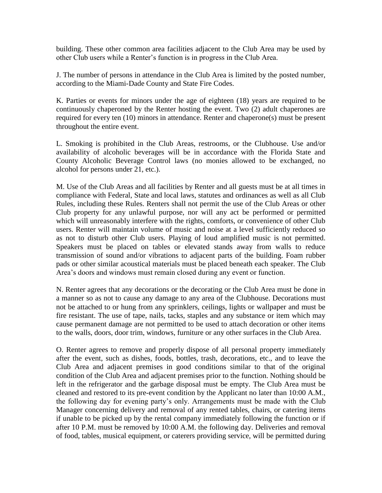building. These other common area facilities adjacent to the Club Area may be used by other Club users while a Renter's function is in progress in the Club Area.

J. The number of persons in attendance in the Club Area is limited by the posted number, according to the Miami-Dade County and State Fire Codes.

K. Parties or events for minors under the age of eighteen (18) years are required to be continuously chaperoned by the Renter hosting the event. Two (2) adult chaperones are required for every ten (10) minors in attendance. Renter and chaperone(s) must be present throughout the entire event.

L. Smoking is prohibited in the Club Areas, restrooms, or the Clubhouse. Use and/or availability of alcoholic beverages will be in accordance with the Florida State and County Alcoholic Beverage Control laws (no monies allowed to be exchanged, no alcohol for persons under 21, etc.).

M. Use of the Club Areas and all facilities by Renter and all guests must be at all times in compliance with Federal, State and local laws, statutes and ordinances as well as all Club Rules, including these Rules. Renters shall not permit the use of the Club Areas or other Club property for any unlawful purpose, nor will any act be performed or permitted which will unreasonably interfere with the rights, comforts, or convenience of other Club users. Renter will maintain volume of music and noise at a level sufficiently reduced so as not to disturb other Club users. Playing of loud amplified music is not permitted. Speakers must be placed on tables or elevated stands away from walls to reduce transmission of sound and/or vibrations to adjacent parts of the building. Foam rubber pads or other similar acoustical materials must be placed beneath each speaker. The Club Area's doors and windows must remain closed during any event or function.

N. Renter agrees that any decorations or the decorating or the Club Area must be done in a manner so as not to cause any damage to any area of the Clubhouse. Decorations must not be attached to or hung from any sprinklers, ceilings, lights or wallpaper and must be fire resistant. The use of tape, nails, tacks, staples and any substance or item which may cause permanent damage are not permitted to be used to attach decoration or other items to the walls, doors, door trim, windows, furniture or any other surfaces in the Club Area.

O. Renter agrees to remove and properly dispose of all personal property immediately after the event, such as dishes, foods, bottles, trash, decorations, etc., and to leave the Club Area and adjacent premises in good conditions similar to that of the original condition of the Club Area and adjacent premises prior to the function. Nothing should be left in the refrigerator and the garbage disposal must be empty. The Club Area must be cleaned and restored to its pre-event condition by the Applicant no later than 10:00 A.M., the following day for evening party's only. Arrangements must be made with the Club Manager concerning delivery and removal of any rented tables, chairs, or catering items if unable to be picked up by the rental company immediately following the function or if after 10 P.M. must be removed by 10:00 A.M. the following day. Deliveries and removal of food, tables, musical equipment, or caterers providing service, will be permitted during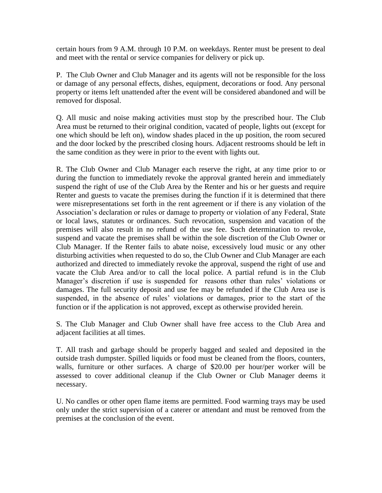certain hours from 9 A.M. through 10 P.M. on weekdays. Renter must be present to deal and meet with the rental or service companies for delivery or pick up.

P. The Club Owner and Club Manager and its agents will not be responsible for the loss or damage of any personal effects, dishes, equipment, decorations or food. Any personal property or items left unattended after the event will be considered abandoned and will be removed for disposal.

Q. All music and noise making activities must stop by the prescribed hour. The Club Area must be returned to their original condition, vacated of people, lights out (except for one which should be left on), window shades placed in the up position, the room secured and the door locked by the prescribed closing hours. Adjacent restrooms should be left in the same condition as they were in prior to the event with lights out.

R. The Club Owner and Club Manager each reserve the right, at any time prior to or during the function to immediately revoke the approval granted herein and immediately suspend the right of use of the Club Area by the Renter and his or her guests and require Renter and guests to vacate the premises during the function if it is determined that there were misrepresentations set forth in the rent agreement or if there is any violation of the Association's declaration or rules or damage to property or violation of any Federal, State or local laws, statutes or ordinances. Such revocation, suspension and vacation of the premises will also result in no refund of the use fee. Such determination to revoke, suspend and vacate the premises shall be within the sole discretion of the Club Owner or Club Manager. If the Renter fails to abate noise, excessively loud music or any other disturbing activities when requested to do so, the Club Owner and Club Manager are each authorized and directed to immediately revoke the approval, suspend the right of use and vacate the Club Area and/or to call the local police. A partial refund is in the Club Manager's discretion if use is suspended for reasons other than rules' violations or damages. The full security deposit and use fee may be refunded if the Club Area use is suspended, in the absence of rules' violations or damages, prior to the start of the function or if the application is not approved, except as otherwise provided herein.

S. The Club Manager and Club Owner shall have free access to the Club Area and adjacent facilities at all times.

T. All trash and garbage should be properly bagged and sealed and deposited in the outside trash dumpster. Spilled liquids or food must be cleaned from the floors, counters, walls, furniture or other surfaces. A charge of \$20.00 per hour/per worker will be assessed to cover additional cleanup if the Club Owner or Club Manager deems it necessary.

U. No candles or other open flame items are permitted. Food warming trays may be used only under the strict supervision of a caterer or attendant and must be removed from the premises at the conclusion of the event.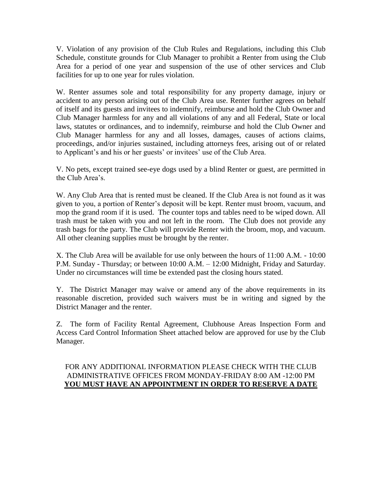V. Violation of any provision of the Club Rules and Regulations, including this Club Schedule, constitute grounds for Club Manager to prohibit a Renter from using the Club Area for a period of one year and suspension of the use of other services and Club facilities for up to one year for rules violation.

W. Renter assumes sole and total responsibility for any property damage, injury or accident to any person arising out of the Club Area use. Renter further agrees on behalf of itself and its guests and invitees to indemnify, reimburse and hold the Club Owner and Club Manager harmless for any and all violations of any and all Federal, State or local laws, statutes or ordinances, and to indemnify, reimburse and hold the Club Owner and Club Manager harmless for any and all losses, damages, causes of actions claims, proceedings, and/or injuries sustained, including attorneys fees, arising out of or related to Applicant's and his or her guests' or invitees' use of the Club Area.

V. No pets, except trained see-eye dogs used by a blind Renter or guest, are permitted in the Club Area's.

W. Any Club Area that is rented must be cleaned. If the Club Area is not found as it was given to you, a portion of Renter's deposit will be kept. Renter must broom, vacuum, and mop the grand room if it is used. The counter tops and tables need to be wiped down. All trash must be taken with you and not left in the room. The Club does not provide any trash bags for the party. The Club will provide Renter with the broom, mop, and vacuum. All other cleaning supplies must be brought by the renter.

X. The Club Area will be available for use only between the hours of 11:00 A.M. - 10:00 P.M. Sunday - Thursday; or between 10:00 A.M. – 12:00 Midnight, Friday and Saturday. Under no circumstances will time be extended past the closing hours stated.

Y. The District Manager may waive or amend any of the above requirements in its reasonable discretion, provided such waivers must be in writing and signed by the District Manager and the renter.

Z. The form of Facility Rental Agreement, Clubhouse Areas Inspection Form and Access Card Control Information Sheet attached below are approved for use by the Club Manager.

#### FOR ANY ADDITIONAL INFORMATION PLEASE CHECK WITH THE CLUB ADMINISTRATIVE OFFICES FROM MONDAY-FRIDAY 8:00 AM -12:00 PM **YOU MUST HAVE AN APPOINTMENT IN ORDER TO RESERVE A DATE**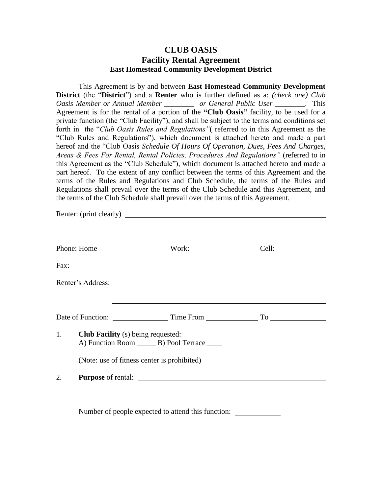### **CLUB OASIS Facility Rental Agreement East Homestead Community Development District**

This Agreement is by and between **East Homestead Community Development District** (the "**District**") and a **Renter** who is further defined as a: *(check one) Club Oasis Member or Annual Member <i>or General Public User* . This Agreement is for the rental of a portion of the **"Club Oasis"** facility, to be used for a private function (the "Club Facility"), and shall be subject to the terms and conditions set forth in the "*Club Oasis Rules and Regulations"*( referred to in this Agreement as the "Club Rules and Regulations"), which document is attached hereto and made a part hereof and the "Club Oasis *Schedule Of Hours Of Operation, Dues, Fees And Charges, Areas & Fees For Rental, Rental Policies, Procedures And Regulations"* (referred to in this Agreement as the "Club Schedule")*,* which document is attached hereto and made a part hereof. To the extent of any conflict between the terms of this Agreement and the terms of the Rules and Regulations and Club Schedule, the terms of the Rules and Regulations shall prevail over the terms of the Club Schedule and this Agreement, and the terms of the Club Schedule shall prevail over the terms of this Agreement.

| 1. | <b>Club Facility</b> (s) being requested:<br>A) Function Room ________ B) Pool Terrace _____<br>(Note: use of fitness center is prohibited)                                                                                                                                                      |  |
|----|--------------------------------------------------------------------------------------------------------------------------------------------------------------------------------------------------------------------------------------------------------------------------------------------------|--|
| 2. |                                                                                                                                                                                                                                                                                                  |  |
|    | $\mathbf{v}$ and $\mathbf{v}$ and $\mathbf{v}$ and $\mathbf{v}$ and $\mathbf{v}$ and $\mathbf{v}$ and $\mathbf{v}$ and $\mathbf{v}$ and $\mathbf{v}$ and $\mathbf{v}$ and $\mathbf{v}$ and $\mathbf{v}$ and $\mathbf{v}$ and $\mathbf{v}$ and $\mathbf{v}$ and $\mathbf{v}$ and $\mathbf{v}$ and |  |

Number of people expected to attend this function: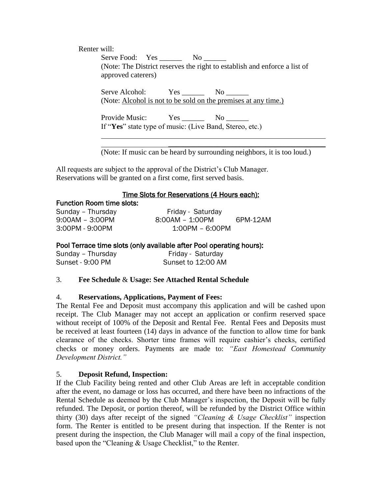Renter will:

Serve Food: Yes \_\_\_\_\_\_\_ No \_\_\_\_\_\_ (Note: The District reserves the right to establish and enforce a list of approved caterers)

Serve Alcohol: Yes No (Note: Alcohol is not to be sold on the premises at any time.)

Provide Music: Yes No No If "**Yes**" state type of music: (Live Band, Stereo, etc.)

(Note: If music can be heard by surrounding neighbors, it is too loud.)

\_\_\_\_\_\_\_\_\_\_\_\_\_\_\_\_\_\_\_\_\_\_\_\_\_\_\_\_\_\_\_\_\_\_\_\_\_\_\_\_\_\_

All requests are subject to the approval of the District's Club Manager. Reservations will be granted on a first come, first served basis.

#### Time Slots for Reservations (4 Hours each):

| <b>Function Room time slots:</b> |                   |          |
|----------------------------------|-------------------|----------|
| Sunday - Thursday                | Friday - Saturday |          |
| $9:00AM - 3:00PM$                | 8:00AM - 1:00PM   | 6PM-12AM |
| 3:00PM - 9:00PM                  | 1:00PM – 6:00PM   |          |

#### Pool Terrace time slots (only available after Pool operating hours):

| Sunday - Thursday | Friday - Saturday  |
|-------------------|--------------------|
| Sunset - 9:00 PM  | Sunset to 12:00 AM |

#### 3. **Fee Schedule** & **Usage: See Attached Rental Schedule**

#### 4. **Reservations, Applications, Payment of Fees:**

The Rental Fee and Deposit must accompany this application and will be cashed upon receipt. The Club Manager may not accept an application or confirm reserved space without receipt of 100% of the Deposit and Rental Fee. Rental Fees and Deposits must be received at least fourteen (14) days in advance of the function to allow time for bank clearance of the checks. Shorter time frames will require cashier's checks, certified checks or money orders. Payments are made to: *"East Homestead Community Development District."*

#### 5. **Deposit Refund, Inspection:**

If the Club Facility being rented and other Club Areas are left in acceptable condition after the event, no damage or loss has occurred, and there have been no infractions of the Rental Schedule as deemed by the Club Manager's inspection, the Deposit will be fully refunded. The Deposit, or portion thereof, will be refunded by the District Office within thirty (30) days after receipt of the signed *"Cleaning & Usage Checklist"* inspection form. The Renter is entitled to be present during that inspection. If the Renter is not present during the inspection, the Club Manager will mail a copy of the final inspection, based upon the "Cleaning & Usage Checklist," to the Renter.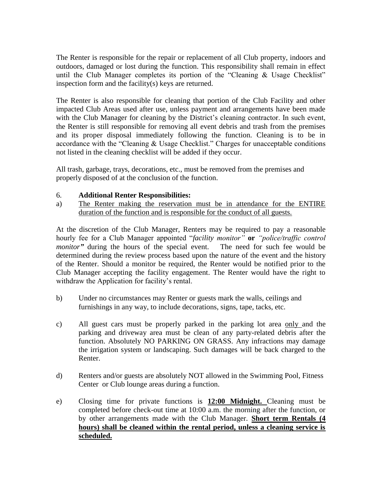The Renter is responsible for the repair or replacement of all Club property, indoors and outdoors, damaged or lost during the function. This responsibility shall remain in effect until the Club Manager completes its portion of the "Cleaning & Usage Checklist" inspection form and the facility(s) keys are returned.

The Renter is also responsible for cleaning that portion of the Club Facility and other impacted Club Areas used after use, unless payment and arrangements have been made with the Club Manager for cleaning by the District's cleaning contractor. In such event, the Renter is still responsible for removing all event debris and trash from the premises and its proper disposal immediately following the function. Cleaning is to be in accordance with the "Cleaning & Usage Checklist." Charges for unacceptable conditions not listed in the cleaning checklist will be added if they occur.

All trash, garbage, trays, decorations, etc., must be removed from the premises and properly disposed of at the conclusion of the function.

#### 6. **Additional Renter Responsibilities:**

a) The Renter making the reservation must be in attendance for the ENTIRE duration of the function and is responsible for the conduct of all guests.

At the discretion of the Club Manager, Renters may be required to pay a reasonable hourly fee for a Club Manager appointed "*facility monitor"* **or** *"police/traffic control monitor*<sup>*"*</sup> during the hours of the special event. The need for such fee would be determined during the review process based upon the nature of the event and the history of the Renter. Should a monitor be required, the Renter would be notified prior to the Club Manager accepting the facility engagement. The Renter would have the right to withdraw the Application for facility's rental.

- b) Under no circumstances may Renter or guests mark the walls, ceilings and furnishings in any way, to include decorations, signs, tape, tacks, etc.
- c) All guest cars must be properly parked in the parking lot area only and the parking and driveway area must be clean of any party-related debris after the function. Absolutely NO PARKING ON GRASS. Any infractions may damage the irrigation system or landscaping. Such damages will be back charged to the Renter.
- d) Renters and/or guests are absolutely NOT allowed in the Swimming Pool, Fitness Center or Club lounge areas during a function.
- e) Closing time for private functions is **12:00 Midnight.** Cleaning must be completed before check-out time at 10:00 a.m. the morning after the function, or by other arrangements made with the Club Manager. **Short term Rentals (4 hours) shall be cleaned within the rental period, unless a cleaning service is scheduled.**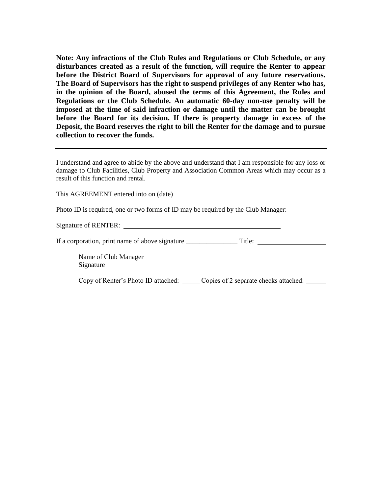**Note: Any infractions of the Club Rules and Regulations or Club Schedule, or any disturbances created as a result of the function, will require the Renter to appear before the District Board of Supervisors for approval of any future reservations. The Board of Supervisors has the right to suspend privileges of any Renter who has, in the opinion of the Board, abused the terms of this Agreement, the Rules and Regulations or the Club Schedule. An automatic 60-day non-use penalty will be imposed at the time of said infraction or damage until the matter can be brought before the Board for its decision. If there is property damage in excess of the Deposit, the Board reserves the right to bill the Renter for the damage and to pursue collection to recover the funds.**

I understand and agree to abide by the above and understand that I am responsible for any loss or damage to Club Facilities, Club Property and Association Common Areas which may occur as a result of this function and rental.

This AGREEMENT entered into on (date)

Photo ID is required, one or two forms of ID may be required by the Club Manager:

Signature of RENTER:

If a corporation, print name of above signature \_\_\_\_\_\_\_\_\_\_\_\_\_\_\_ Title:

Name of Club Manager Signature

Copy of Renter's Photo ID attached: \_\_\_\_\_ Copies of 2 separate checks attached: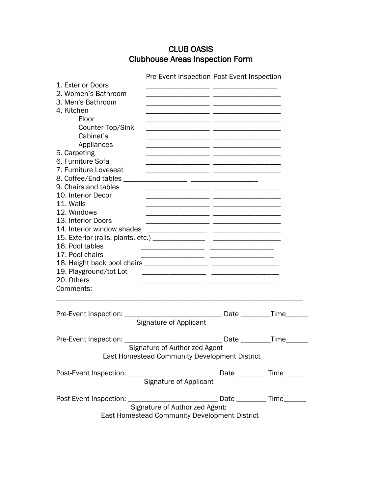# CLUB OASIS Clubhouse Areas Inspection Form

|                                         | Pre-Event Inspection Post-Event Inspection    |             |              |
|-----------------------------------------|-----------------------------------------------|-------------|--------------|
| 1. Exterior Doors                       |                                               |             |              |
| 2. Women's Bathroom                     |                                               |             |              |
| 3. Men's Bathroom                       |                                               |             |              |
| 4. Kitchen                              |                                               |             |              |
| Floor                                   |                                               |             |              |
| Counter Top/Sink                        |                                               |             |              |
| Cabinet's                               |                                               |             |              |
| Appliances                              |                                               |             |              |
| 5. Carpeting                            |                                               |             |              |
| 6. Furniture Sofa                       |                                               |             |              |
| 7. Furniture Loveseat                   |                                               |             |              |
| 8. Coffee/End tables _____              |                                               |             |              |
| 9. Chairs and tables                    |                                               |             |              |
| 10. Interior Decor                      |                                               |             |              |
| 11. Walls                               |                                               |             |              |
| 12. Windows                             |                                               |             |              |
| 13. Interior Doors                      |                                               |             |              |
| 14. Interior window shades              |                                               |             |              |
|                                         |                                               |             |              |
| 16. Pool tables                         |                                               |             |              |
|                                         |                                               |             |              |
| 17. Pool chairs                         |                                               |             |              |
|                                         |                                               |             |              |
| 19. Playground/tot Lot                  |                                               |             |              |
| 20. Others                              |                                               |             |              |
| Comments:                               |                                               |             |              |
|                                         |                                               |             |              |
|                                         |                                               |             |              |
| Pre-Event Inspection: _________________ |                                               | Date $\_\_$ | _Time_______ |
|                                         | <b>Signature of Applicant</b>                 |             |              |
|                                         |                                               |             |              |
| Pre-Event Inspection:                   |                                               | Date        | Time         |
|                                         | Signature of Authorized Agent                 |             |              |
|                                         | East Homestead Community Development District |             |              |
|                                         |                                               |             |              |
|                                         |                                               |             |              |
|                                         |                                               |             |              |
|                                         |                                               |             |              |
|                                         |                                               |             |              |
|                                         |                                               |             |              |
|                                         | East Homestead Community Development District |             |              |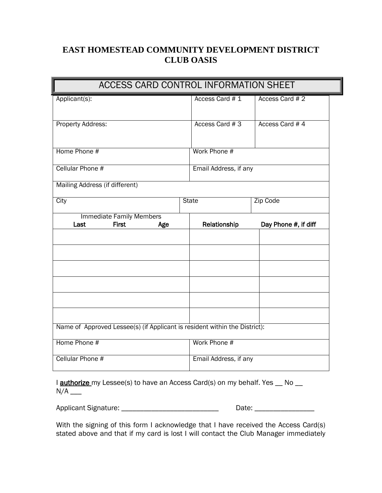### **EAST HOMESTEAD COMMUNITY DEVELOPMENT DISTRICT CLUB OASIS**

| ACCESS CARD CONTROL INFORMATION SHEET                                      |                       |                      |
|----------------------------------------------------------------------------|-----------------------|----------------------|
| Applicant(s):                                                              | Access Card #1        | Access Card # 2      |
| Property Address:                                                          | Access Card #3        | Access Card #4       |
| Home Phone #                                                               | Work Phone #          |                      |
| Cellular Phone #                                                           | Email Address, if any |                      |
| Mailing Address (if different)                                             |                       |                      |
| City                                                                       | <b>State</b>          | Zip Code             |
| <b>Immediate Family Members</b>                                            |                       |                      |
| <b>First</b><br>Last<br>Age                                                | Relationship          | Day Phone #, if diff |
|                                                                            |                       |                      |
|                                                                            |                       |                      |
|                                                                            |                       |                      |
|                                                                            |                       |                      |
|                                                                            |                       |                      |
|                                                                            |                       |                      |
| Name of Approved Lessee(s) (if Applicant is resident within the District): |                       |                      |
| Home Phone #                                                               | Work Phone #          |                      |
| Cellular Phone #                                                           | Email Address, if any |                      |

I **authorize** my Lessee(s) to have an Access Card(s) on my behalf. Yes \_\_ No \_\_ N/A \_\_\_

Applicant Signature: \_\_\_\_\_\_\_\_\_\_\_\_\_\_\_\_\_\_\_\_\_\_\_\_\_\_\_\_\_\_\_\_\_\_\_ Date: \_\_\_\_\_\_\_\_\_\_\_\_\_\_\_\_\_

With the signing of this form I acknowledge that I have received the Access Card(s) stated above and that if my card is lost I will contact the Club Manager immediately